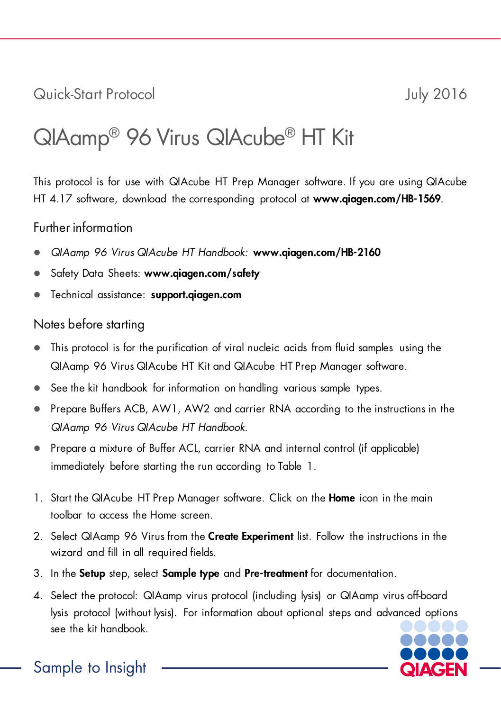Quick-Start Protocol July 2016

## QIAamp® 96 Virus QIAcube® HT Kit

This protocol is for use with QIAcube HT Prep Manager software. If you are using QIAcube HT 4.17 software, download the corresponding protocol at www.qiagen.com/HB-1569.

## Further information

- *QIAamp 96 Virus QIAcube HT Handbook:* www.qiagen.com/HB-2160
- Safety Data Sheets: www.aiaaen.com/safety
- **Technical assistance: support.giagen.com**

## Notes before starting

- This protocol is for the purification of viral nucleic acids from fluid samples using the QIAamp 96 Virus QIAcube HT Kit and QIAcube HT Prep Manager software.
- See the kit handbook for information on handling various sample types.
- Prepare Buffers ACB, AW1, AW2 and carrier RNA according to the instructions in the *QIAamp 96 Virus QIAcube HT Handbook*.
- Prepare a mixture of Buffer ACL, carrier RNA and internal control (if applicable) immediately before starting the run according to Table 1.
- 1. Start the QIAcube HT Prep Manager software. Click on the **Home** icon in the main toolbar to access the Home screen.
- 2. Select QIAamp 96 Virus from the Create Experiment list. Follow the instructions in the wizard and fill in all required fields.
- 3. In the Setup step, select Sample type and Pre-treatment for documentation.
- 4. Select the protocol: QIAamp virus protocol (including lysis) or QIAamp virus off-board lysis protocol (without lysis). For information about optional steps and advanced options see the kit handbook.



Sample to Insight